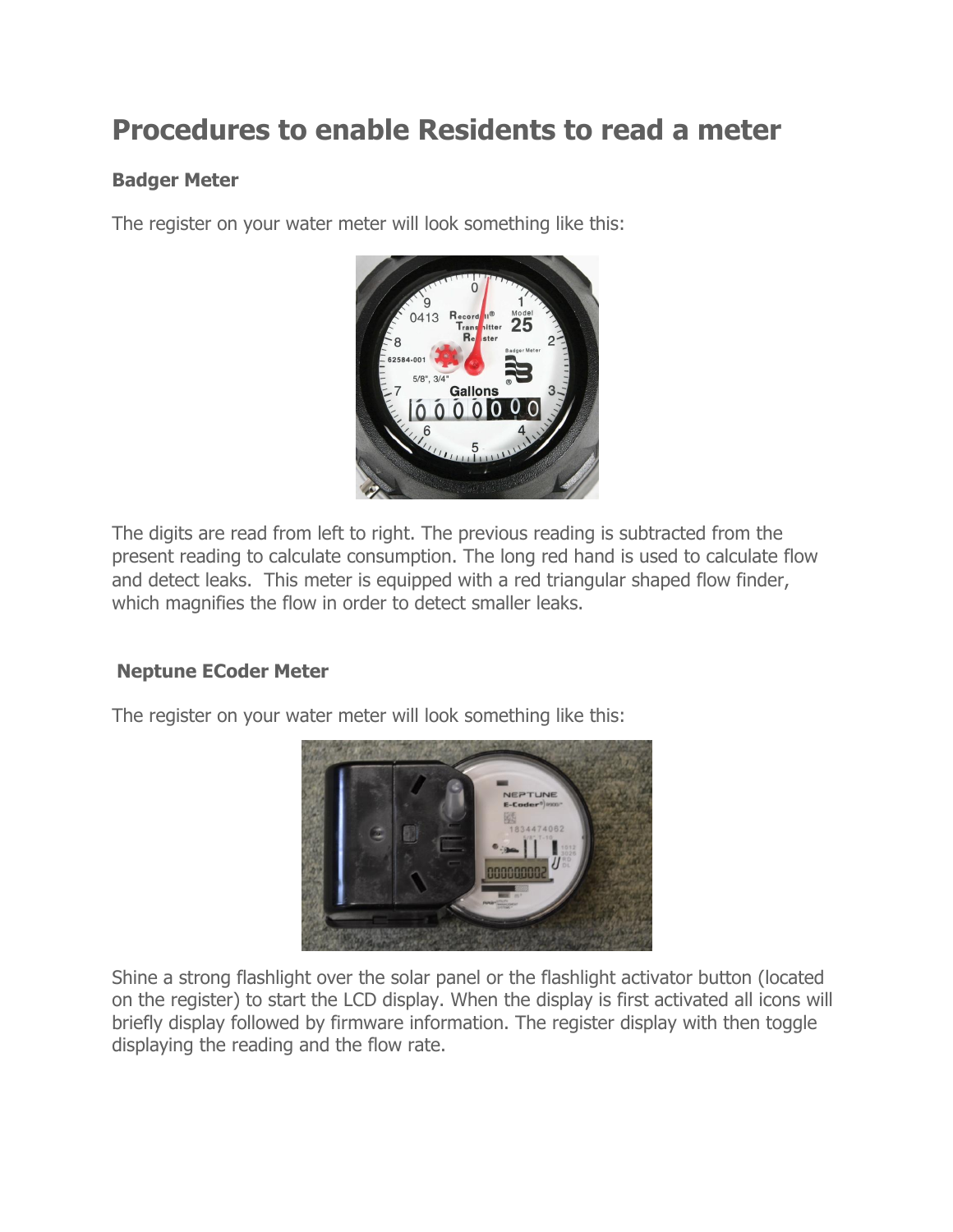## **Procedures to enable Residents to read a meter**

## **Badger Meter**

The register on your water meter will look something like this:



The digits are read from left to right. The previous reading is subtracted from the present reading to calculate consumption. The long red hand is used to calculate flow and detect leaks. This meter is equipped with a red triangular shaped flow finder, which magnifies the flow in order to detect smaller leaks.

## **Neptune ECoder Meter**

The register on your water meter will look something like this:



Shine a strong flashlight over the solar panel or the flashlight activator button (located on the register) to start the LCD display. When the display is first activated all icons will briefly display followed by firmware information. The register display with then toggle displaying the reading and the flow rate.